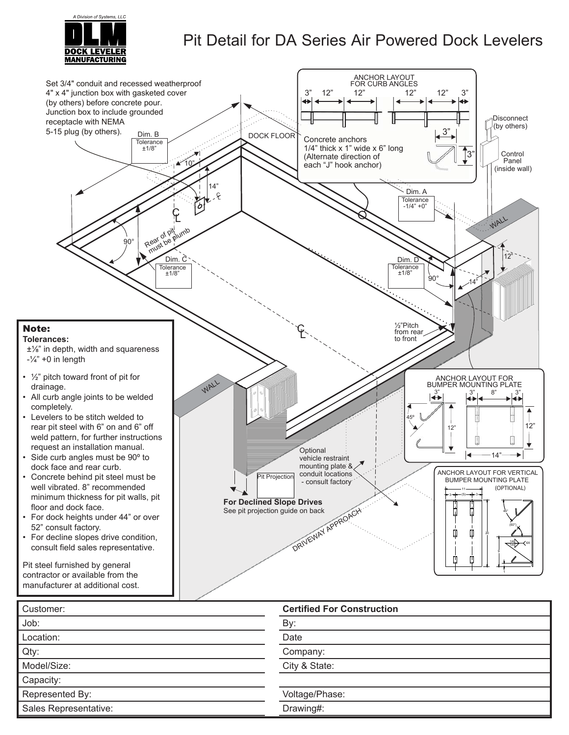

## Pit Detail for DA Series Air Powered Dock Levelers



| "````````''`''`''`''  | 301111001101200110110011011 |  |  |  |  |  |
|-----------------------|-----------------------------|--|--|--|--|--|
| Job:                  | By:                         |  |  |  |  |  |
| Location:             | Date                        |  |  |  |  |  |
| Qty:                  | Company:                    |  |  |  |  |  |
| Model/Size:           | City & State:               |  |  |  |  |  |
| Capacity:             |                             |  |  |  |  |  |
| Represented By:       | Voltage/Phase:              |  |  |  |  |  |
| Sales Representative: | Drawing#:                   |  |  |  |  |  |